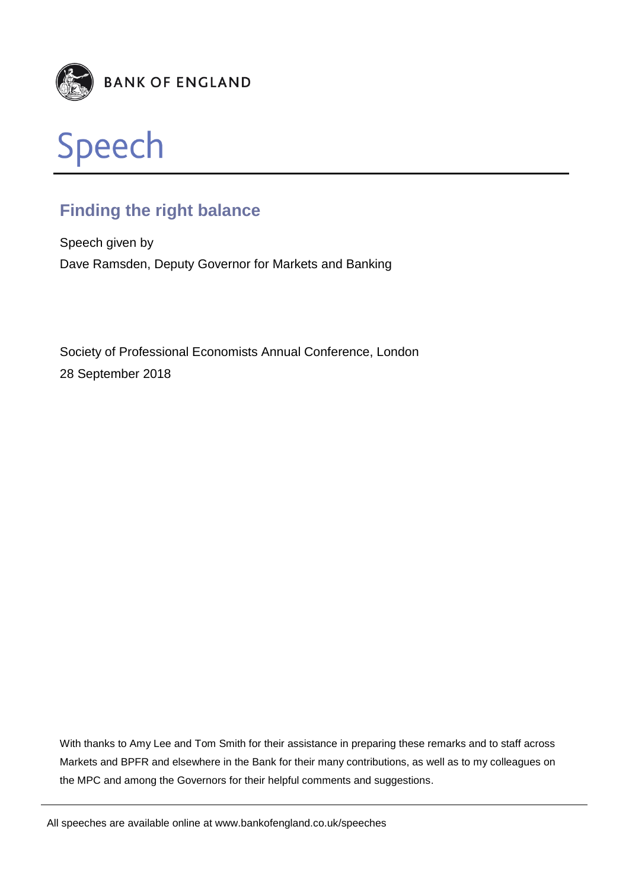



# **Finding the right balance**

Speech given by Dave Ramsden, Deputy Governor for Markets and Banking

Society of Professional Economists Annual Conference, London 28 September 2018

With thanks to Amy Lee and Tom Smith for their assistance in preparing these remarks and to staff across Markets and BPFR and elsewhere in the Bank for their many contributions, as well as to my colleagues on the MPC and among the Governors for their helpful comments and suggestions.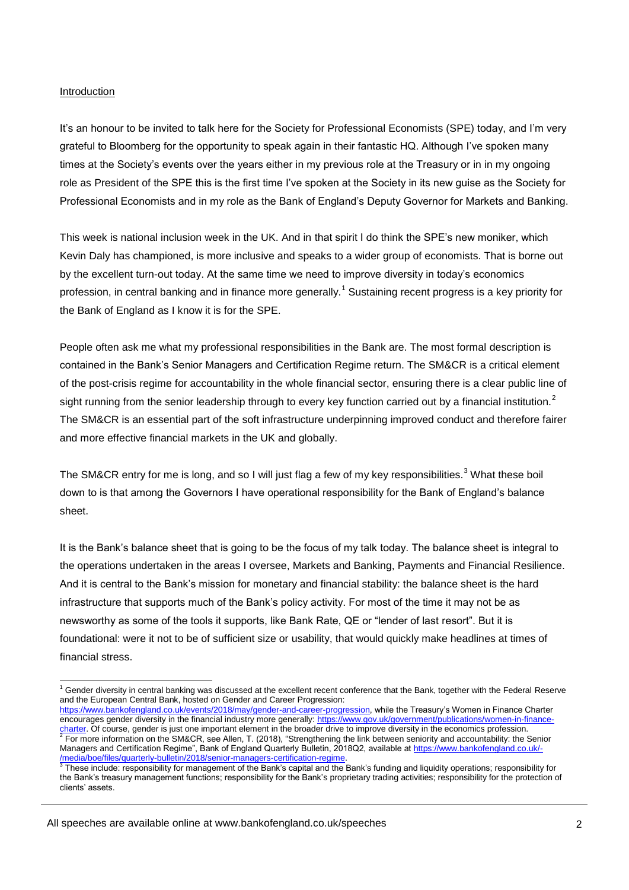#### Introduction

1

It's an honour to be invited to talk here for the Society for Professional Economists (SPE) today, and I'm very grateful to Bloomberg for the opportunity to speak again in their fantastic HQ. Although I've spoken many times at the Society's events over the years either in my previous role at the Treasury or in in my ongoing role as President of the SPE this is the first time I've spoken at the Society in its new guise as the Society for Professional Economists and in my role as the Bank of England's Deputy Governor for Markets and Banking.

This week is national inclusion week in the UK. And in that spirit I do think the SPE's new moniker, which Kevin Daly has championed, is more inclusive and speaks to a wider group of economists. That is borne out by the excellent turn-out today. At the same time we need to improve diversity in today's economics profession, in central banking and in finance more generally.<sup>1</sup> Sustaining recent progress is a key priority for the Bank of England as I know it is for the SPE.

People often ask me what my professional responsibilities in the Bank are. The most formal description is contained in the Bank's Senior Managers and Certification Regime return. The SM&CR is a critical element of the post-crisis regime for accountability in the whole financial sector, ensuring there is a clear public line of sight running from the senior leadership through to every key function carried out by a financial institution.<sup>2</sup> The SM&CR is an essential part of the soft infrastructure underpinning improved conduct and therefore fairer and more effective financial markets in the UK and globally.

The SM&CR entry for me is long, and so I will just flag a few of my key responsibilities.<sup>3</sup> What these boil down to is that among the Governors I have operational responsibility for the Bank of England's balance sheet.

It is the Bank's balance sheet that is going to be the focus of my talk today. The balance sheet is integral to the operations undertaken in the areas I oversee, Markets and Banking, Payments and Financial Resilience. And it is central to the Bank's mission for monetary and financial stability: the balance sheet is the hard infrastructure that supports much of the Bank's policy activity. For most of the time it may not be as newsworthy as some of the tools it supports, like Bank Rate, QE or "lender of last resort". But it is foundational: were it not to be of sufficient size or usability, that would quickly make headlines at times of financial stress.

 $1$  Gender diversity in central banking was discussed at the excellent recent conference that the Bank, together with the Federal Reserve and the European Central Bank, hosted on Gender and Career Progression:

[https://www.bankofengland.co.uk/events/2018/may/gender-and-career-progression,](https://www.bankofengland.co.uk/events/2018/may/gender-and-career-progression) while the Treasury's Women in Finance Charter encourages gender diversity in the financial industry more generally[: https://www.gov.uk/government/publications/women-in-finance-](https://www.gov.uk/government/publications/women-in-finance-charter)<u>charter</u>. Of course, gender is just one important element in the broader drive to improve diversity in the economics profession.<br><sup>2</sup> For more information on the SM&CR, see Allen, T. (2018), "Strengthening the link between Managers and Certification Regime", Bank of England Quarterly Bulletin, 2018Q2, available a[t https://www.bankofengland.co.uk/-](https://www.bankofengland.co.uk/-/media/boe/files/quarterly-bulletin/2018/senior-managers-certification-regime) [/media/boe/files/quarterly-bulletin/2018/senior-managers-certification-regime.](https://www.bankofengland.co.uk/-/media/boe/files/quarterly-bulletin/2018/senior-managers-certification-regime)

<sup>3</sup> These include: responsibility for management of the Bank's capital and the Bank's funding and liquidity operations; responsibility for the Bank's treasury management functions; responsibility for the Bank's proprietary trading activities; responsibility for the protection of clients' assets.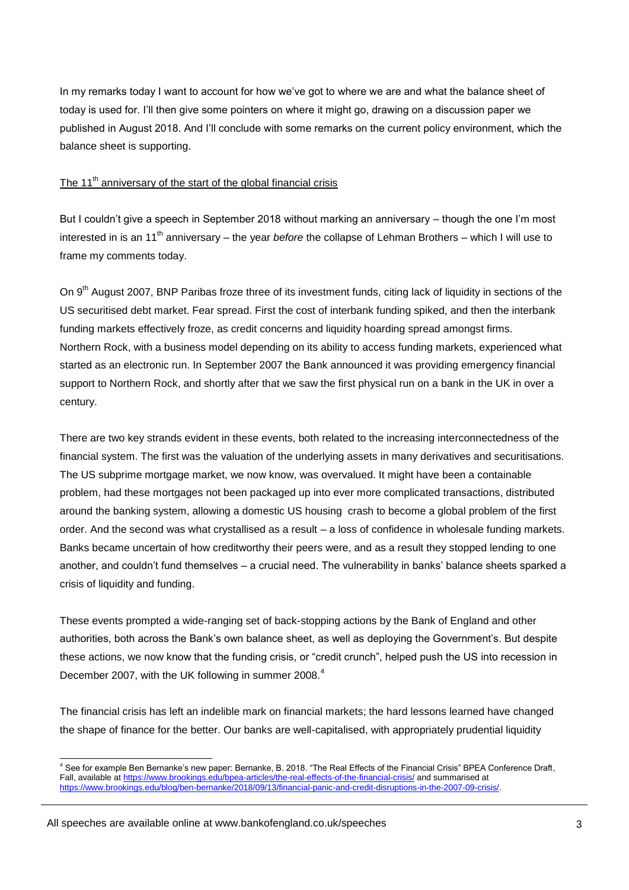In my remarks today I want to account for how we've got to where we are and what the balance sheet of today is used for. I'll then give some pointers on where it might go, drawing on a discussion paper we published in August 2018. And I'll conclude with some remarks on the current policy environment, which the balance sheet is supporting.

## The 11<sup>th</sup> anniversary of the start of the global financial crisis

But I couldn't give a speech in September 2018 without marking an anniversary – though the one I'm most interested in is an 11th anniversary – the year *before* the collapse of Lehman Brothers – which I will use to frame my comments today.

On 9<sup>th</sup> August 2007, BNP Paribas froze three of its investment funds, citing lack of liquidity in sections of the US securitised debt market. Fear spread. First the cost of interbank funding spiked, and then the interbank funding markets effectively froze, as credit concerns and liquidity hoarding spread amongst firms. Northern Rock, with a business model depending on its ability to access funding markets, experienced what started as an electronic run. In September 2007 the Bank announced it was providing emergency financial support to Northern Rock, and shortly after that we saw the first physical run on a bank in the UK in over a century.

There are two key strands evident in these events, both related to the increasing interconnectedness of the financial system. The first was the valuation of the underlying assets in many derivatives and securitisations. The US subprime mortgage market, we now know, was overvalued. It might have been a containable problem, had these mortgages not been packaged up into ever more complicated transactions, distributed around the banking system, allowing a domestic US housing crash to become a global problem of the first order. And the second was what crystallised as a result – a loss of confidence in wholesale funding markets. Banks became uncertain of how creditworthy their peers were, and as a result they stopped lending to one another, and couldn't fund themselves – a crucial need. The vulnerability in banks' balance sheets sparked a crisis of liquidity and funding.

These events prompted a wide-ranging set of back-stopping actions by the Bank of England and other authorities, both across the Bank's own balance sheet, as well as deploying the Government's. But despite these actions, we now know that the funding crisis, or "credit crunch", helped push the US into recession in December 2007, with the UK following in summer 2008.<sup>4</sup>

The financial crisis has left an indelible mark on financial markets; the hard lessons learned have changed the shape of finance for the better. Our banks are well-capitalised, with appropriately prudential liquidity

<sup>1</sup> <sup>4</sup> See for example Ben Bernanke's new paper: Bernanke, B. 2018. "The Real Effects of the Financial Crisis" BPEA Conference Draft, Fall, available a[t https://www.brookings.edu/bpea-articles/the-real-effects-of-the-financial-crisis/](https://www.brookings.edu/bpea-articles/the-real-effects-of-the-financial-crisis/) and summarised at [https://www.brookings.edu/blog/ben-bernanke/2018/09/13/financial-panic-and-credit-disruptions-in-the-2007-09-crisis/.](https://www.brookings.edu/blog/ben-bernanke/2018/09/13/financial-panic-and-credit-disruptions-in-the-2007-09-crisis/)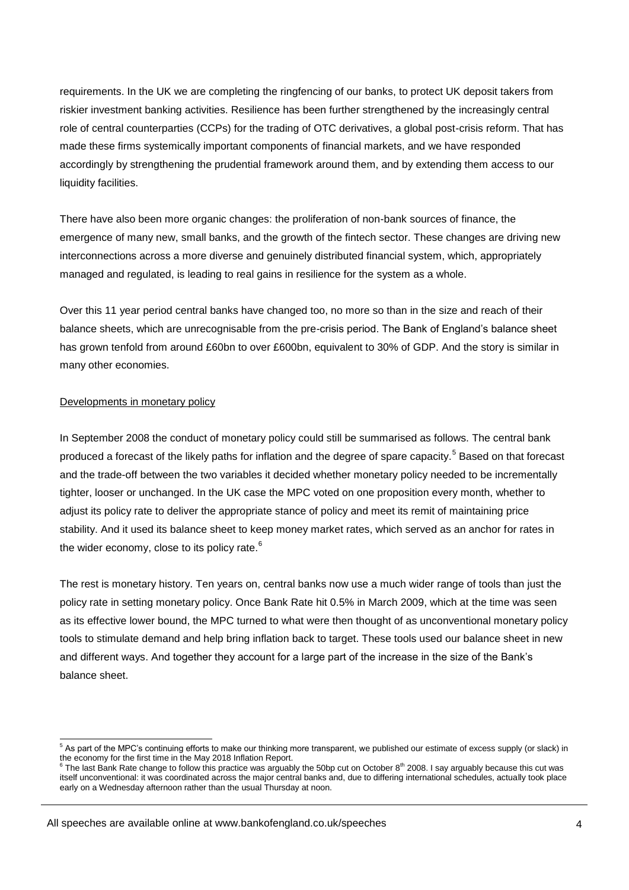requirements. In the UK we are completing the ringfencing of our banks, to protect UK deposit takers from riskier investment banking activities. Resilience has been further strengthened by the increasingly central role of central counterparties (CCPs) for the trading of OTC derivatives, a global post-crisis reform. That has made these firms systemically important components of financial markets, and we have responded accordingly by strengthening the prudential framework around them, and by extending them access to our liquidity facilities.

There have also been more organic changes: the proliferation of non-bank sources of finance, the emergence of many new, small banks, and the growth of the fintech sector. These changes are driving new interconnections across a more diverse and genuinely distributed financial system, which, appropriately managed and regulated, is leading to real gains in resilience for the system as a whole.

Over this 11 year period central banks have changed too, no more so than in the size and reach of their balance sheets, which are unrecognisable from the pre-crisis period. The Bank of England's balance sheet has grown tenfold from around £60bn to over £600bn, equivalent to 30% of GDP. And the story is similar in many other economies.

### Developments in monetary policy

In September 2008 the conduct of monetary policy could still be summarised as follows. The central bank produced a forecast of the likely paths for inflation and the degree of spare capacity.<sup>5</sup> Based on that forecast and the trade-off between the two variables it decided whether monetary policy needed to be incrementally tighter, looser or unchanged. In the UK case the MPC voted on one proposition every month, whether to adjust its policy rate to deliver the appropriate stance of policy and meet its remit of maintaining price stability. And it used its balance sheet to keep money market rates, which served as an anchor for rates in the wider economy, close to its policy rate.<sup>6</sup>

The rest is monetary history. Ten years on, central banks now use a much wider range of tools than just the policy rate in setting monetary policy. Once Bank Rate hit 0.5% in March 2009, which at the time was seen as its effective lower bound, the MPC turned to what were then thought of as unconventional monetary policy tools to stimulate demand and help bring inflation back to target. These tools used our balance sheet in new and different ways. And together they account for a large part of the increase in the size of the Bank's balance sheet.

<sup>-</sup><sup>5</sup> As part of the MPC's continuing efforts to make our thinking more transparent, we published our estimate of excess supply (or slack) in the economy for the first time in the May 2018 Inflation Report.<br><sup>6</sup> The lest Bank Rate shapes to follow this prostice was argueb

The last Bank Rate change to follow this practice was arguably the 50bp cut on October  $8^{th}$  2008. I say arguably because this cut was itself unconventional: it was coordinated across the major central banks and, due to differing international schedules, actually took place early on a Wednesday afternoon rather than the usual Thursday at noon.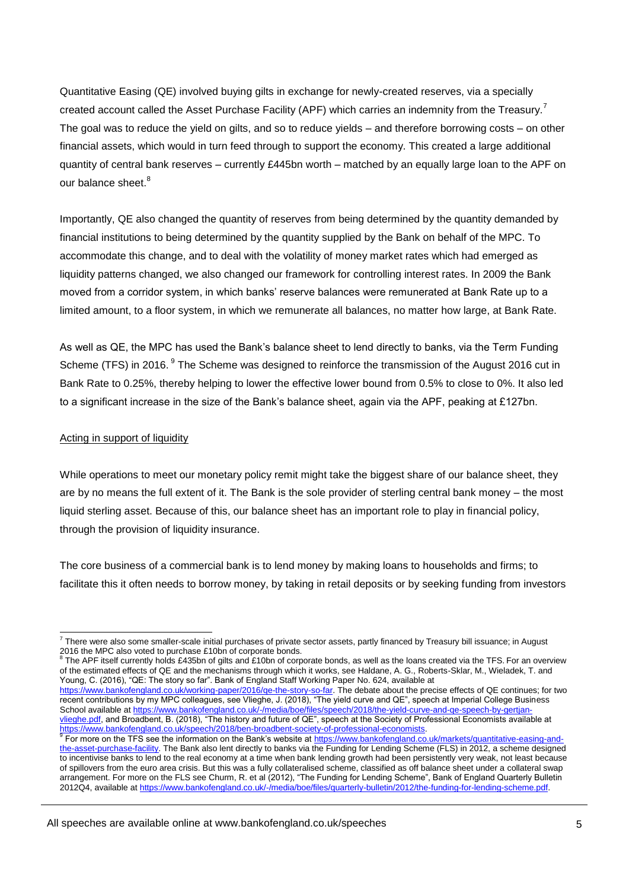Quantitative Easing (QE) involved buying gilts in exchange for newly-created reserves, via a specially created account called the Asset Purchase Facility (APF) which carries an indemnity from the Treasury.<sup>7</sup> The goal was to reduce the yield on gilts, and so to reduce yields – and therefore borrowing costs – on other financial assets, which would in turn feed through to support the economy. This created a large additional quantity of central bank reserves – currently £445bn worth – matched by an equally large loan to the APF on our balance sheet. $8$ 

Importantly, QE also changed the quantity of reserves from being determined by the quantity demanded by financial institutions to being determined by the quantity supplied by the Bank on behalf of the MPC. To accommodate this change, and to deal with the volatility of money market rates which had emerged as liquidity patterns changed, we also changed our framework for controlling interest rates. In 2009 the Bank moved from a corridor system, in which banks' reserve balances were remunerated at Bank Rate up to a limited amount, to a floor system, in which we remunerate all balances, no matter how large, at Bank Rate.

As well as QE, the MPC has used the Bank's balance sheet to lend directly to banks, via the Term Funding Scheme (TFS) in 2016. <sup>9</sup> The Scheme was designed to reinforce the transmission of the August 2016 cut in Bank Rate to 0.25%, thereby helping to lower the effective lower bound from 0.5% to close to 0%. It also led to a significant increase in the size of the Bank's balance sheet, again via the APF, peaking at £127bn.

#### Acting in support of liquidity

While operations to meet our monetary policy remit might take the biggest share of our balance sheet, they are by no means the full extent of it. The Bank is the sole provider of sterling central bank money – the most liquid sterling asset. Because of this, our balance sheet has an important role to play in financial policy, through the provision of liquidity insurance.

The core business of a commercial bank is to lend money by making loans to households and firms; to facilitate this it often needs to borrow money, by taking in retail deposits or by seeking funding from investors

The APF itself currently holds £435bn of gilts and £10bn of corporate bonds, as well as the loans created via the TFS. For an overview of the estimated effects of QE and the mechanisms through which it works, see Haldane, A. G., Roberts-Sklar, M., Wieladek, T. and Young, C. (2016), "QE: The story so far". Bank of England Staff Working Paper No. 624, available at

https://www.bankofengland.co.uk/working-paper/2016/qe-the-story-so-far</u>. The debate about the precise effects of QE continues; for two recent contributions by my MPC colleagues, see Vlieghe, J. (2018), "The yield curve and QE", speech at Imperial College Business School available at [https://www.bankofengland.co.uk/-/media/boe/files/speech/2018/the-yield-curve-and-qe-speech-by-gertjan](https://www.bankofengland.co.uk/-/media/boe/files/speech/2018/the-yield-curve-and-qe-speech-by-gertjan-vlieghe.pdf)[vlieghe.pdf,](https://www.bankofengland.co.uk/-/media/boe/files/speech/2018/the-yield-curve-and-qe-speech-by-gertjan-vlieghe.pdf) and Broadbent, B. (2018), "The history and future of QE", speech at the Society of Professional Economists available at

<sup>-</sup> $^7$  There were also some smaller-scale initial purchases of private sector assets, partly financed by Treasury bill issuance; in August 2016 the MPC also voted to purchase £10bn of corporate bonds.<br><sup>8</sup> The APE itself aurrently holds £425bp of gilta and £10bp of earn

<sup>&</sup>lt;u>https://www.bankofengland.co.uk/speech/2018/ben-broadbent-society-of-professional-economists</u>.<br><sup>9</sup> For more on the TFS see the information on the Bank's website at <u>https://www.bankofengland.co.uk/markets/quantitative-eas</u> [the-asset-purchase-facility.](https://www.bankofengland.co.uk/markets/quantitative-easing-and-the-asset-purchase-facility) The Bank also lent directly to banks via the Funding for Lending Scheme (FLS) in 2012, a scheme designed to incentivise banks to lend to the real economy at a time when bank lending growth had been persistently very weak, not least because of spillovers from the euro area crisis. But this was a fully collateralised scheme, classified as off balance sheet under a collateral swap arrangement. For more on the FLS see Churm, R. et al (2012), "The Funding for Lending Scheme", Bank of England Quarterly Bulletin 2012Q4, available a[t https://www.bankofengland.co.uk/-/media/boe/files/quarterly-bulletin/2012/the-funding-for-lending-scheme.pdf.](https://www.bankofengland.co.uk/-/media/boe/files/quarterly-bulletin/2012/the-funding-for-lending-scheme.pdf)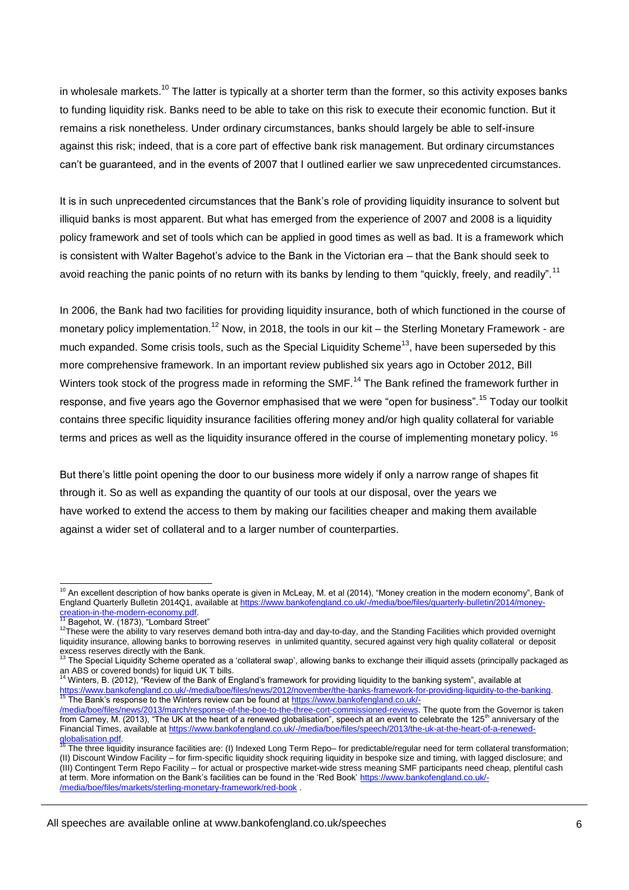in wholesale markets.<sup>10</sup> The latter is typically at a shorter term than the former, so this activity exposes banks to funding liquidity risk. Banks need to be able to take on this risk to execute their economic function. But it remains a risk nonetheless. Under ordinary circumstances, banks should largely be able to self-insure against this risk; indeed, that is a core part of effective bank risk management. But ordinary circumstances can't be guaranteed, and in the events of 2007 that I outlined earlier we saw unprecedented circumstances.

It is in such unprecedented circumstances that the Bank's role of providing liquidity insurance to solvent but illiquid banks is most apparent. But what has emerged from the experience of 2007 and 2008 is a liquidity policy framework and set of tools which can be applied in good times as well as bad. It is a framework which is consistent with Walter Bagehot's advice to the Bank in the Victorian era – that the Bank should seek to avoid reaching the panic points of no return with its banks by lending to them "guickly, freely, and readily".<sup>11</sup>

In 2006, the Bank had two facilities for providing liquidity insurance, both of which functioned in the course of monetary policy implementation.<sup>12</sup> Now, in 2018, the tools in our kit – the Sterling Monetary Framework - are much expanded. Some crisis tools, such as the Special Liquidity Scheme<sup>13</sup>, have been superseded by this more comprehensive framework. In an important review published six years ago in October 2012, Bill Winters took stock of the progress made in reforming the SMF.<sup>14</sup> The Bank refined the framework further in response, and five years ago the Governor emphasised that we were "open for business".<sup>15</sup> Today our toolkit contains three specific liquidity insurance facilities offering money and/or high quality collateral for variable terms and prices as well as the liquidity insurance offered in the course of implementing monetary policy. <sup>16</sup>

But there's little point opening the door to our business more widely if only a narrow range of shapes fit through it. So as well as expanding the quantity of our tools at our disposal, over the years we have worked to extend the access to them by making our facilities cheaper and making them available against a wider set of collateral and to a larger number of counterparties.

1

 $10$  An excellent description of how banks operate is given in McLeay, M. et al (2014), "Money creation in the modern economy", Bank of England Quarterly Bulletin 2014Q1, available a[t https://www.bankofengland.co.uk/-/media/boe/files/quarterly-bulletin/2014/money-](https://www.bankofengland.co.uk/-/media/boe/files/quarterly-bulletin/2014/money-creation-in-the-modern-economy.pdf)

[creation-in-the-modern-economy.pdf.](https://www.bankofengland.co.uk/-/media/boe/files/quarterly-bulletin/2014/money-creation-in-the-modern-economy.pdf)<br><sup>11</sup> Bagehot, W. (1873), "Lombard Street"

<sup>12</sup>These were the ability to vary reserves demand both intra-day and day-to-day, and the Standing Facilities which provided overnight liquidity insurance, allowing banks to borrowing reserves in unlimited quantity, secured against very high quality collateral or deposit excess reserves directly with the Bank.

The Special Liquidity Scheme operated as a 'collateral swap', allowing banks to exchange their illiquid assets (principally packaged as an ABS or covered bonds) for liquid UK T bills.<br><sup>14</sup> Winters, B. (2012), "Review of the Bank of England's framework for providing liquidity to the banking system", available at

https://www.bankofengland.co.uk/-/media/boe/files/news/2012/november/the-banks-framework-for-providing-liquidity-to-the-banking.<br><sup>15</sup> The Bank's response to the Winters review can be found at <u>https://www.bankofengland.co.</u>

[<sup>/</sup>media/boe/files/news/2013/march/response-of-the-boe-to-the-three-cort-commissioned-reviews.](https://www.bankofengland.co.uk/-/media/boe/files/news/2013/march/response-of-the-boe-to-the-three-cort-commissioned-reviews) The quote from the Governor is taken from Carney, M. (2013), "The UK at the heart of a renewed globalisation", speech at an event to celebrate the 125<sup>th</sup> anniversary of the Financial Times, available at [https://www.bankofengland.co.uk/-/media/boe/files/speech/2013/the-uk-at-the-heart-of-a-renewed-](https://www.bankofengland.co.uk/-/media/boe/files/speech/2013/the-uk-at-the-heart-of-a-renewed-globalisation.pdf)<mark>globalisation.pdf</mark>.<br><sup>16</sup> The three liquidity insurance facilities are: (I) Indexed Long Term Repo– for predictable/regular need for term collateral transformation;

<sup>(</sup>II) Discount Window Facility – for firm-specific liquidity shock requiring liquidity in bespoke size and timing, with lagged disclosure; and (III) Contingent Term Repo Facility – for actual or prospective market-wide stress meaning SMF participants need cheap, plentiful cash at term. More information on the Bank's facilities can be found in the 'Red Book' [https://www.bankofengland.co.uk/-](https://www.bankofengland.co.uk/-/media/boe/files/markets/sterling-monetary-framework/red-book) [/media/boe/files/markets/sterling-monetary-framework/red-book](https://www.bankofengland.co.uk/-/media/boe/files/markets/sterling-monetary-framework/red-book) .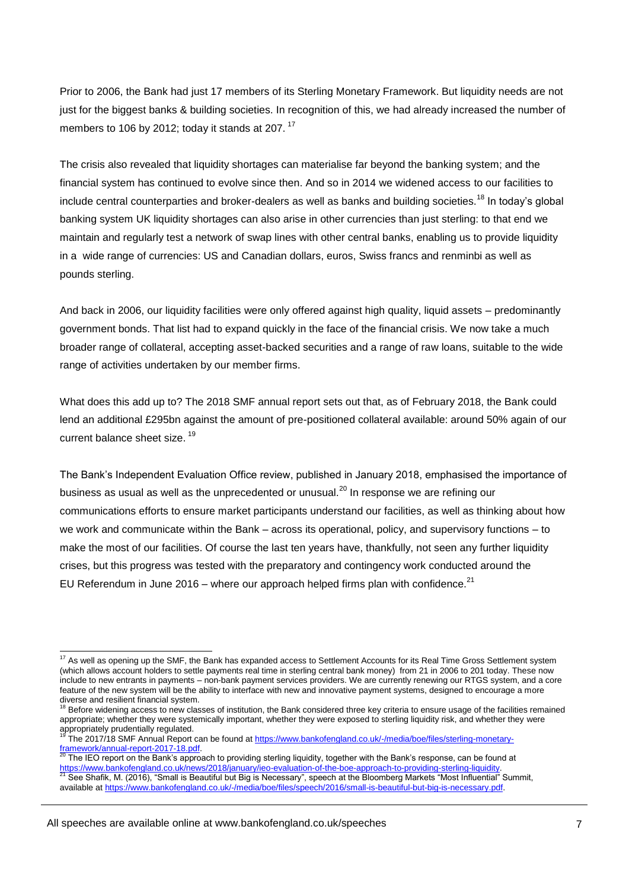Prior to 2006, the Bank had just 17 members of its Sterling Monetary Framework. But liquidity needs are not just for the biggest banks & building societies. In recognition of this, we had already increased the number of members to 106 by 2012; today it stands at 207.  $17$ 

The crisis also revealed that liquidity shortages can materialise far beyond the banking system; and the financial system has continued to evolve since then. And so in 2014 we widened access to our facilities to include central counterparties and broker-dealers as well as banks and building societies.<sup>18</sup> In today's global banking system UK liquidity shortages can also arise in other currencies than just sterling: to that end we maintain and regularly test a network of swap lines with other central banks, enabling us to provide liquidity in a wide range of currencies: US and Canadian dollars, euros, Swiss francs and renminbi as well as pounds sterling.

And back in 2006, our liquidity facilities were only offered against high quality, liquid assets – predominantly government bonds. That list had to expand quickly in the face of the financial crisis. We now take a much broader range of collateral, accepting asset-backed securities and a range of raw loans, suitable to the wide range of activities undertaken by our member firms.

What does this add up to? The 2018 SMF annual report sets out that, as of February 2018, the Bank could lend an additional £295bn against the amount of pre-positioned collateral available: around 50% again of our current balance sheet size.<sup>19</sup>

The Bank's Independent Evaluation Office review, published in January 2018, emphasised the importance of business as usual as well as the unprecedented or unusual.<sup>20</sup> In response we are refining our communications efforts to ensure market participants understand our facilities, as well as thinking about how we work and communicate within the Bank – across its operational, policy, and supervisory functions – to make the most of our facilities. Of course the last ten years have, thankfully, not seen any further liquidity crises, but this progress was tested with the preparatory and contingency work conducted around the EU Referendum in June 2016 – where our approach helped firms plan with confidence.<sup>21</sup>

-

 $17$  As well as opening up the SMF, the Bank has expanded access to Settlement Accounts for its Real Time Gross Settlement system (which allows account holders to settle payments real time in sterling central bank money) from 21 in 2006 to 201 today. These now include to new entrants in payments – non-bank payment services providers. We are currently renewing our RTGS system, and a core feature of the new system will be the ability to interface with new and innovative payment systems, designed to encourage a more diverse and resilient financial system.

<sup>&</sup>lt;sup>18</sup> Before widening access to new classes of institution, the Bank considered three key criteria to ensure usage of the facilities remained appropriate; whether they were systemically important, whether they were exposed to sterling liquidity risk, and whether they were appropriately prudentially regulated.

<sup>19</sup> The 2017/18 SMF Annual Report can be found a[t https://www.bankofengland.co.uk/-/media/boe/files/sterling-monetary-](https://www.bankofengland.co.uk/-/media/boe/files/sterling-monetary-framework/annual-report-2017-18.pdf?la=en&hash=C036972CE8B4F36142BE507B27603A3109083912)<u>framework/annual-report-2017-18.pdf</u>.<br><sup>20</sup> The IEO report on the Bank's approach to providing sterling liquidity, together with the Bank's response, can be found at

[https://www.bankofengland.co.uk/news/2018/january/ieo-evaluation-of-the-boe-approach-to-providing-sterling-liquidity.](https://www.bankofengland.co.uk/news/2018/january/ieo-evaluation-of-the-boe-approach-to-providing-sterling-liquidity)<br><sup>21</sup> Research Martin (2010) #Resulting Results that Rivia Necessary," appeals of the Placentes and delay See Shafik, M. (2016), "Small is Beautiful but Big is Necessary", speech at the Bloomberg Markets "Most Influential" Summit, available a[t https://www.bankofengland.co.uk/-/media/boe/files/speech/2016/small-is-beautiful-but-big-is-necessary.pdf.](https://www.bankofengland.co.uk/-/media/boe/files/speech/2016/small-is-beautiful-but-big-is-necessary.pdf)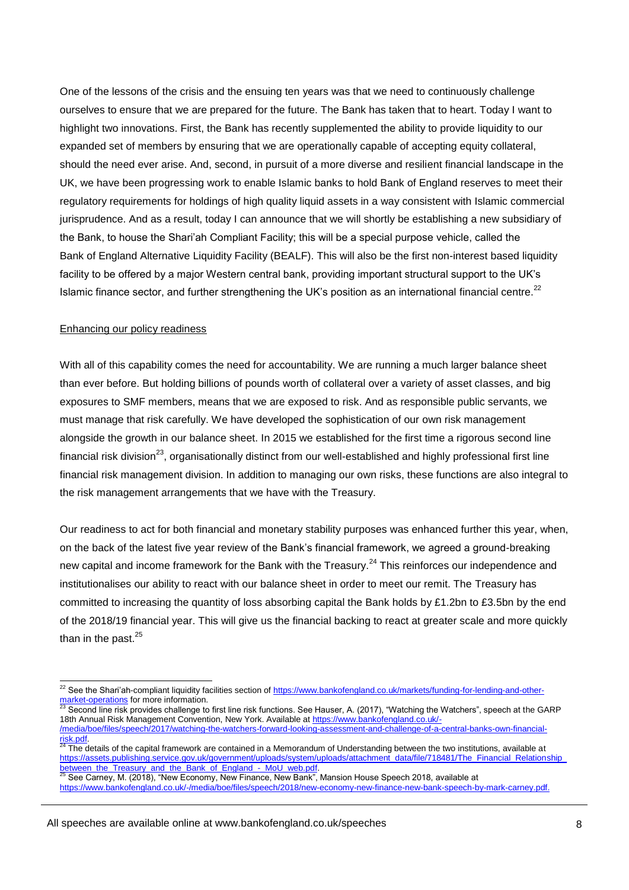One of the lessons of the crisis and the ensuing ten years was that we need to continuously challenge ourselves to ensure that we are prepared for the future. The Bank has taken that to heart. Today I want to highlight two innovations. First, the Bank has recently supplemented the ability to provide liquidity to our expanded set of members by ensuring that we are operationally capable of accepting equity collateral, should the need ever arise. And, second, in pursuit of a more diverse and resilient financial landscape in the UK, we have been progressing work to enable Islamic banks to hold Bank of England reserves to meet their regulatory requirements for holdings of high quality liquid assets in a way consistent with Islamic commercial jurisprudence. And as a result, today I can announce that we will shortly be establishing a new subsidiary of the Bank, to house the Shari'ah Compliant Facility; this will be a special purpose vehicle, called the Bank of England Alternative Liquidity Facility (BEALF). This will also be the first non-interest based liquidity facility to be offered by a major Western central bank, providing important structural support to the UK's Islamic finance sector, and further strengthening the UK's position as an international financial centre.<sup>22</sup>

#### Enhancing our policy readiness

1

With all of this capability comes the need for accountability. We are running a much larger balance sheet than ever before. But holding billions of pounds worth of collateral over a variety of asset classes, and big exposures to SMF members, means that we are exposed to risk. And as responsible public servants, we must manage that risk carefully. We have developed the sophistication of our own risk management alongside the growth in our balance sheet. In 2015 we established for the first time a rigorous second line financial risk division<sup>23</sup>, organisationally distinct from our well-established and highly professional first line financial risk management division. In addition to managing our own risks, these functions are also integral to the risk management arrangements that we have with the Treasury.

Our readiness to act for both financial and monetary stability purposes was enhanced further this year, when, on the back of the latest five year review of the Bank's financial framework, we agreed a ground-breaking new capital and income framework for the Bank with the Treasury.<sup>24</sup> This reinforces our independence and institutionalises our ability to react with our balance sheet in order to meet our remit. The Treasury has committed to increasing the quantity of loss absorbing capital the Bank holds by £1.2bn to £3.5bn by the end of the 2018/19 financial year. This will give us the financial backing to react at greater scale and more quickly than in the past. $25$ 

<sup>&</sup>lt;sup>22</sup> See the Shari'ah-compliant liquidity facilities section of [https://www.bankofengland.co.uk/markets/funding-for-lending-and-other](https://www.bankofengland.co.uk/markets/funding-for-lending-and-other-market-operations)<u>[market-operations](https://www.bankofengland.co.uk/markets/funding-for-lending-and-other-market-operations)</u> for more information.<br><sup>23</sup> Second line risk provides challenge to first line risk functions. See Hauser, A. (2017), "Watching the Watchers", speech at the GARP

<sup>18</sup>th Annual Risk Management Convention, New York. Available at [https://www.bankofengland.co.uk/-](https://www.bankofengland.co.uk/-/media/boe/files/speech/2017/watching-the-watchers-forward-looking-assessment-and-challenge-of-a-central-banks-own-financial-risk.pdf) [/media/boe/files/speech/2017/watching-the-watchers-forward-looking-assessment-and-challenge-of-a-central-banks-own-financial-](https://www.bankofengland.co.uk/-/media/boe/files/speech/2017/watching-the-watchers-forward-looking-assessment-and-challenge-of-a-central-banks-own-financial-risk.pdf)<mark>risk.pdf</mark>.<br><sup>24</sup> The details of the capital framework are contained in a Memorandum of Understanding between the two institutions, available at

https://assets.publishing.service.gov.uk/government/uploads/system/uploads/attachment\_data/file/718481/The\_Financial\_Relationship [between\\_the\\_Treasury\\_and\\_the\\_Bank\\_of\\_England\\_-\\_MoU\\_web.pdf.](https://assets.publishing.service.gov.uk/government/uploads/system/uploads/attachment_data/file/718481/The_Financial_Relationship_between_the_Treasury_and_the_Bank_of_England_-_MoU_web.pdf) 

See Carney, M. (2018), "New Economy, New Finance, New Bank", Mansion House Speech 2018, available at [https://www.bankofengland.co.uk/-/media/boe/files/speech/2018/new-economy-new-finance-new-bank-speech-by-mark-carney.pdf.](https://www.bankofengland.co.uk/-/media/boe/files/speech/2018/new-economy-new-finance-new-bank-speech-by-mark-carney.pdf)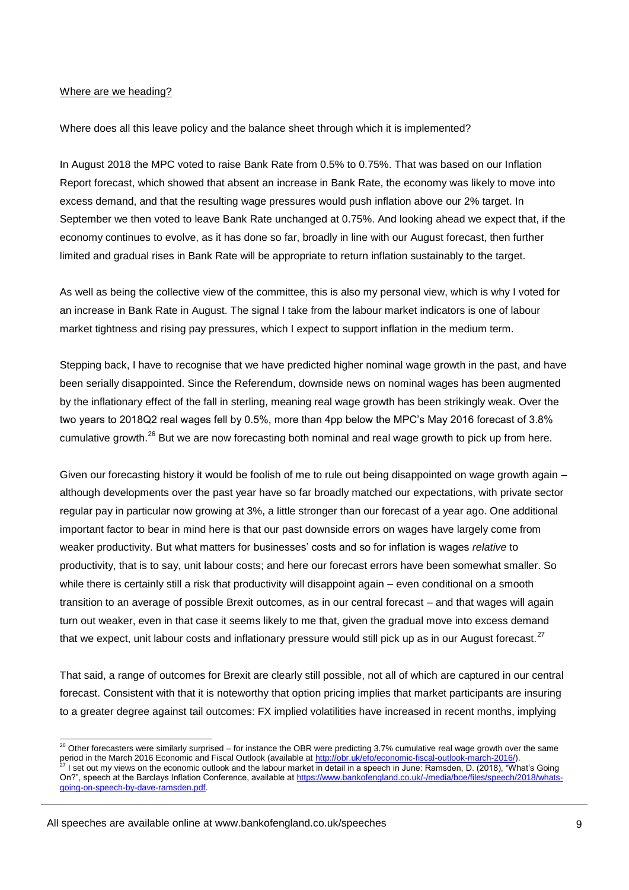#### Where are we heading?

Where does all this leave policy and the balance sheet through which it is implemented?

In August 2018 the MPC voted to raise Bank Rate from 0.5% to 0.75%. That was based on our Inflation Report forecast, which showed that absent an increase in Bank Rate, the economy was likely to move into excess demand, and that the resulting wage pressures would push inflation above our 2% target. In September we then voted to leave Bank Rate unchanged at 0.75%. And looking ahead we expect that, if the economy continues to evolve, as it has done so far, broadly in line with our August forecast, then further limited and gradual rises in Bank Rate will be appropriate to return inflation sustainably to the target.

As well as being the collective view of the committee, this is also my personal view, which is why I voted for an increase in Bank Rate in August. The signal I take from the labour market indicators is one of labour market tightness and rising pay pressures, which I expect to support inflation in the medium term.

Stepping back, I have to recognise that we have predicted higher nominal wage growth in the past, and have been serially disappointed. Since the Referendum, downside news on nominal wages has been augmented by the inflationary effect of the fall in sterling, meaning real wage growth has been strikingly weak. Over the two years to 2018Q2 real wages fell by 0.5%, more than 4pp below the MPC's May 2016 forecast of 3.8% cumulative growth.<sup>26</sup> But we are now forecasting both nominal and real wage growth to pick up from here.

Given our forecasting history it would be foolish of me to rule out being disappointed on wage growth again – although developments over the past year have so far broadly matched our expectations, with private sector regular pay in particular now growing at 3%, a little stronger than our forecast of a year ago. One additional important factor to bear in mind here is that our past downside errors on wages have largely come from weaker productivity. But what matters for businesses' costs and so for inflation is wages *relative* to productivity, that is to say, unit labour costs; and here our forecast errors have been somewhat smaller. So while there is certainly still a risk that productivity will disappoint again – even conditional on a smooth transition to an average of possible Brexit outcomes, as in our central forecast – and that wages will again turn out weaker, even in that case it seems likely to me that, given the gradual move into excess demand that we expect, unit labour costs and inflationary pressure would still pick up as in our August forecast.<sup>27</sup>

That said, a range of outcomes for Brexit are clearly still possible, not all of which are captured in our central forecast. Consistent with that it is noteworthy that option pricing implies that market participants are insuring to a greater degree against tail outcomes: FX implied volatilities have increased in recent months, implying

-

 $^{26}$  Other forecasters were similarly surprised – for instance the OBR were predicting 3.7% cumulative real wage growth over the same period in the March 2016 Economic and Fiscal Outlook (available a[t http://obr.uk/efo/economic-fiscal-outlook-march-2016/\)](http://obr.uk/efo/economic-fiscal-outlook-march-2016/). 1 set out my views on the economic outlook and the labour market in detail in a speech in June: Ramsden, D. (2018), "What's Going On?", speech at the Barclays Inflation Conference, available at [https://www.bankofengland.co.uk/-/media/boe/files/speech/2018/whats](https://www.bankofengland.co.uk/-/media/boe/files/speech/2018/whats-going-on-speech-by-dave-ramsden.pdf)[going-on-speech-by-dave-ramsden.pdf.](https://www.bankofengland.co.uk/-/media/boe/files/speech/2018/whats-going-on-speech-by-dave-ramsden.pdf)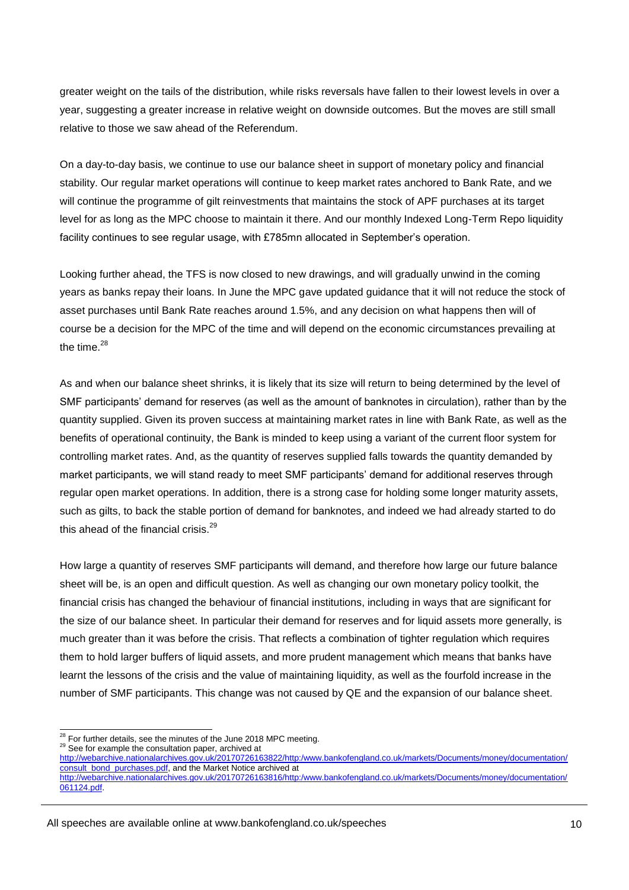greater weight on the tails of the distribution, while risks reversals have fallen to their lowest levels in over a year, suggesting a greater increase in relative weight on downside outcomes. But the moves are still small relative to those we saw ahead of the Referendum.

On a day-to-day basis, we continue to use our balance sheet in support of monetary policy and financial stability. Our regular market operations will continue to keep market rates anchored to Bank Rate, and we will continue the programme of gilt reinvestments that maintains the stock of APF purchases at its target level for as long as the MPC choose to maintain it there. And our monthly Indexed Long-Term Repo liquidity facility continues to see regular usage, with £785mn allocated in September's operation.

Looking further ahead, the TFS is now closed to new drawings, and will gradually unwind in the coming years as banks repay their loans. In June the MPC gave updated guidance that it will not reduce the stock of asset purchases until Bank Rate reaches around 1.5%, and any decision on what happens then will of course be a decision for the MPC of the time and will depend on the economic circumstances prevailing at the time. $28$ 

As and when our balance sheet shrinks, it is likely that its size will return to being determined by the level of SMF participants' demand for reserves (as well as the amount of banknotes in circulation), rather than by the quantity supplied. Given its proven success at maintaining market rates in line with Bank Rate, as well as the benefits of operational continuity, the Bank is minded to keep using a variant of the current floor system for controlling market rates. And, as the quantity of reserves supplied falls towards the quantity demanded by market participants, we will stand ready to meet SMF participants' demand for additional reserves through regular open market operations. In addition, there is a strong case for holding some longer maturity assets, such as gilts, to back the stable portion of demand for banknotes, and indeed we had already started to do this ahead of the financial crisis. $^{29}$ 

How large a quantity of reserves SMF participants will demand, and therefore how large our future balance sheet will be, is an open and difficult question. As well as changing our own monetary policy toolkit, the financial crisis has changed the behaviour of financial institutions, including in ways that are significant for the size of our balance sheet. In particular their demand for reserves and for liquid assets more generally, is much greater than it was before the crisis. That reflects a combination of tighter regulation which requires them to hold larger buffers of liquid assets, and more prudent management which means that banks have learnt the lessons of the crisis and the value of maintaining liquidity, as well as the fourfold increase in the number of SMF participants. This change was not caused by QE and the expansion of our balance sheet.

<sup>1</sup>  $28$  For further details, see the minutes of the June 2018 MPC meeting.

<sup>&</sup>lt;sup>29</sup> See for example the consultation paper, archived at

[http://webarchive.nationalarchives.gov.uk/20170726163822/http:/www.bankofengland.co.uk/markets/Documents/money/documentation/](http://webarchive.nationalarchives.gov.uk/20170726163822/http:/www.bankofengland.co.uk/markets/Documents/money/documentation/consult_bond_purchases.pdf) [consult\\_bond\\_purchases.pdf,](http://webarchive.nationalarchives.gov.uk/20170726163822/http:/www.bankofengland.co.uk/markets/Documents/money/documentation/consult_bond_purchases.pdf) and the Market Notice archived at [http://webarchive.nationalarchives.gov.uk/20170726163816/http:/www.bankofengland.co.uk/markets/Documents/money/documentation/](http://webarchive.nationalarchives.gov.uk/20170726163816/http:/www.bankofengland.co.uk/markets/Documents/money/documentation/061124.pdf) [061124.pdf.](http://webarchive.nationalarchives.gov.uk/20170726163816/http:/www.bankofengland.co.uk/markets/Documents/money/documentation/061124.pdf)